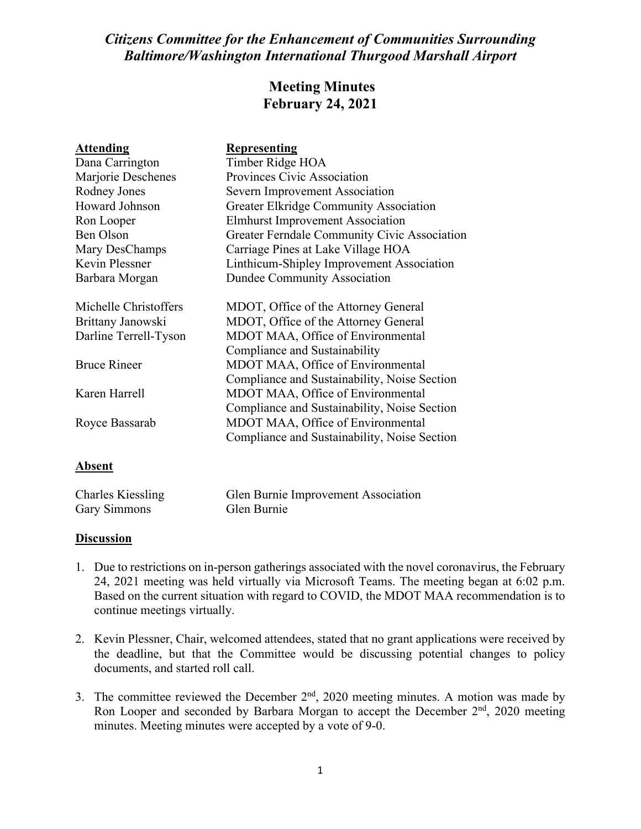## *Citizens Committee for the Enhancement of Communities Surrounding Baltimore/Washington International Thurgood Marshall Airport*

## **Meeting Minutes February 24, 2021**

| <b>Attending</b>      | <b>Representing</b>                           |
|-----------------------|-----------------------------------------------|
| Dana Carrington       | Timber Ridge HOA                              |
| Marjorie Deschenes    | Provinces Civic Association                   |
| Rodney Jones          | Severn Improvement Association                |
| Howard Johnson        | <b>Greater Elkridge Community Association</b> |
| Ron Looper            | <b>Elmhurst Improvement Association</b>       |
| Ben Olson             | Greater Ferndale Community Civic Association  |
| Mary DesChamps        | Carriage Pines at Lake Village HOA            |
| Kevin Plessner        | Linthicum-Shipley Improvement Association     |
| Barbara Morgan        | <b>Dundee Community Association</b>           |
| Michelle Christoffers | MDOT, Office of the Attorney General          |
| Brittany Janowski     | MDOT, Office of the Attorney General          |
| Darline Terrell-Tyson | MDOT MAA, Office of Environmental             |
|                       | Compliance and Sustainability                 |
| <b>Bruce Rineer</b>   | MDOT MAA, Office of Environmental             |
|                       | Compliance and Sustainability, Noise Section  |
| Karen Harrell         | MDOT MAA, Office of Environmental             |
|                       | Compliance and Sustainability, Noise Section  |
| Royce Bassarab        | MDOT MAA, Office of Environmental             |
|                       | Compliance and Sustainability, Noise Section  |
| Absent                |                                               |

| <b>Charles Kiessling</b> | Glen Burnie Improvement Association |
|--------------------------|-------------------------------------|
| <b>Gary Simmons</b>      | Glen Burnie                         |

## **Discussion**

- 1. Due to restrictions on in-person gatherings associated with the novel coronavirus, the February 24, 2021 meeting was held virtually via Microsoft Teams. The meeting began at 6:02 p.m. Based on the current situation with regard to COVID, the MDOT MAA recommendation is to continue meetings virtually.
- 2. Kevin Plessner, Chair, welcomed attendees, stated that no grant applications were received by the deadline, but that the Committee would be discussing potential changes to policy documents, and started roll call.
- 3. The committee reviewed the December  $2<sup>nd</sup>$ , 2020 meeting minutes. A motion was made by Ron Looper and seconded by Barbara Morgan to accept the December  $2<sup>nd</sup>$ , 2020 meeting minutes. Meeting minutes were accepted by a vote of 9-0.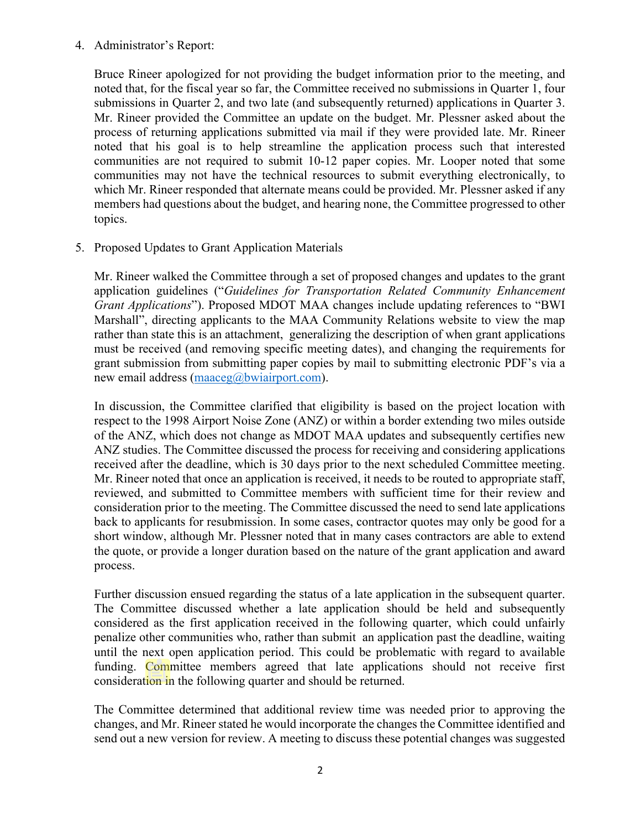## 4. Administrator's Report:

Bruce Rineer apologized for not providing the budget information prior to the meeting, and noted that, for the fiscal year so far, the Committee received no submissions in Quarter 1, four submissions in Quarter 2, and two late (and subsequently returned) applications in Quarter 3. Mr. Rineer provided the Committee an update on the budget. Mr. Plessner asked about the process of returning applications submitted via mail if they were provided late. Mr. Rineer noted that his goal is to help streamline the application process such that interested communities are not required to submit 10-12 paper copies. Mr. Looper noted that some communities may not have the technical resources to submit everything electronically, to which Mr. Rineer responded that alternate means could be provided. Mr. Plessner asked if any members had questions about the budget, and hearing none, the Committee progressed to other topics.

5. Proposed Updates to Grant Application Materials

Mr. Rineer walked the Committee through a set of proposed changes and updates to the grant application guidelines ("*Guidelines for Transportation Related Community Enhancement Grant Applications*"). Proposed MDOT MAA changes include updating references to "BWI Marshall", directing applicants to the MAA Community Relations website to view the map rather than state this is an attachment, generalizing the description of when grant applications must be received (and removing specific meeting dates), and changing the requirements for grant submission from submitting paper copies by mail to submitting electronic PDF's via a new email address [\(maaceg@bwiairport.com\)](mailto:maaceg@bwiairport.com).

In discussion, the Committee clarified that eligibility is based on the project location with respect to the 1998 Airport Noise Zone (ANZ) or within a border extending two miles outside of the ANZ, which does not change as MDOT MAA updates and subsequently certifies new ANZ studies. The Committee discussed the process for receiving and considering applications received after the deadline, which is 30 days prior to the next scheduled Committee meeting. Mr. Rineer noted that once an application is received, it needs to be routed to appropriate staff, reviewed, and submitted to Committee members with sufficient time for their review and consideration prior to the meeting. The Committee discussed the need to send late applications back to applicants for resubmission. In some cases, contractor quotes may only be good for a short window, although Mr. Plessner noted that in many cases contractors are able to extend the quote, or provide a longer duration based on the nature of the grant application and award process.

Further discussion ensued regarding the status of a late application in the subsequent quarter. The Committee discussed whether a late application should be held and subsequently considered as the first application received in the following quarter, which could unfairly penalize other communities who, rather than submit an application past the deadline, waiting until the next open application period. This could be problematic with regard to available funding. Committee members agreed that late applications should not receive first consideration in the following quarter and should be returned.

The Committee determined that additional review time was needed prior to approving the changes, and Mr. Rineer stated he would incorporate the changes the Committee identified and send out a new version for review. A meeting to discuss these potential changes was suggested